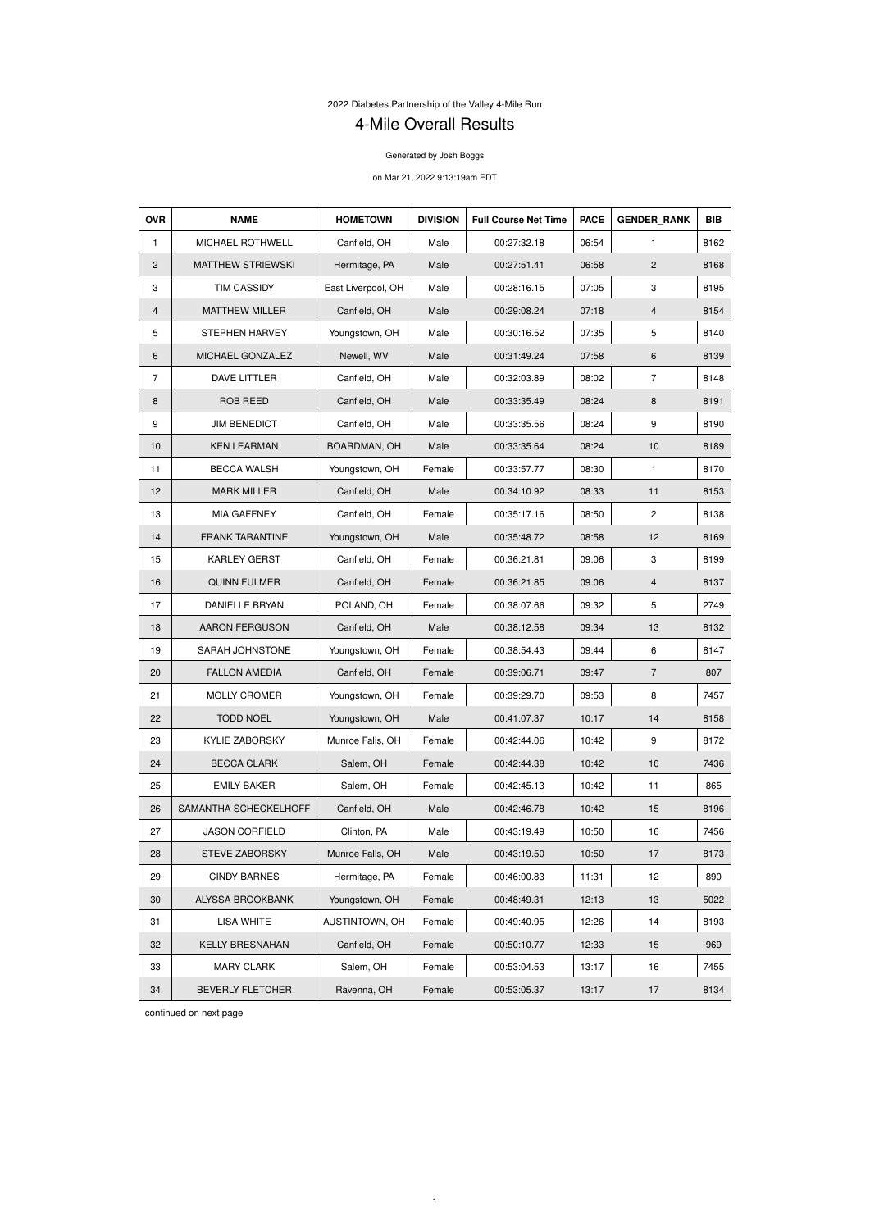2022 Diabetes Partnership of the Valley 4-Mile Run

## 4-Mile Overall Results

Generated by Josh Boggs

on Mar 21, 2022 9:13:19am EDT

| <b>OVR</b>     | <b>NAME</b>              | <b>HOMETOWN</b>    | <b>DIVISION</b> | <b>Full Course Net Time</b> | <b>PACE</b> | <b>GENDER RANK</b> | <b>BIB</b> |
|----------------|--------------------------|--------------------|-----------------|-----------------------------|-------------|--------------------|------------|
| 1              | <b>MICHAEL ROTHWELL</b>  | Canfield, OH       | Male            | 00:27:32.18                 | 06:54       | 1                  | 8162       |
| 2              | <b>MATTHEW STRIEWSKI</b> | Hermitage, PA      | Male            | 00:27:51.41                 | 06:58       | $\mathbf{2}$       | 8168       |
| 3              | <b>TIM CASSIDY</b>       | East Liverpool, OH | Male            | 00:28:16.15                 | 07:05       | 3                  | 8195       |
| 4              | <b>MATTHEW MILLER</b>    | Canfield, OH       | Male            | 00:29:08.24                 | 07:18       | $\overline{4}$     | 8154       |
| 5              | <b>STEPHEN HARVEY</b>    | Youngstown, OH     | Male            | 00:30:16.52                 | 07:35       | 5                  | 8140       |
| 6              | MICHAEL GONZALEZ         | Newell, WV         | Male            | 00:31:49.24                 | 07:58       | 6                  | 8139       |
| $\overline{7}$ | DAVE LITTLER             | Canfield, OH       | Male            | 00:32:03.89                 | 08:02       | $\overline{7}$     | 8148       |
| 8              | <b>ROB REED</b>          | Canfield, OH       | Male            | 00:33:35.49                 | 08:24       | 8                  | 8191       |
| 9              | <b>JIM BENEDICT</b>      | Canfield, OH       | Male            | 00:33:35.56                 | 08:24       | 9                  | 8190       |
| 10             | <b>KEN LEARMAN</b>       | BOARDMAN, OH       | Male            | 00:33:35.64                 | 08:24       | 10                 | 8189       |
| 11             | <b>BECCA WALSH</b>       | Youngstown, OH     | Female          | 00:33:57.77                 | 08:30       | $\mathbf{1}$       | 8170       |
| 12             | <b>MARK MILLER</b>       | Canfield, OH       | Male            | 00:34:10.92                 | 08:33       | 11                 | 8153       |
| 13             | <b>MIA GAFFNEY</b>       | Canfield, OH       | Female          | 00:35:17.16                 | 08:50       | $\overline{c}$     | 8138       |
| 14             | <b>FRANK TARANTINE</b>   | Youngstown, OH     | Male            | 00:35:48.72                 | 08:58       | 12                 | 8169       |
| 15             | <b>KARLEY GERST</b>      | Canfield, OH       | Female          | 00:36:21.81                 | 09:06       | 3                  | 8199       |
| 16             | <b>QUINN FULMER</b>      | Canfield, OH       | Female          | 00:36:21.85                 | 09:06       | 4                  | 8137       |
| 17             | <b>DANIELLE BRYAN</b>    | POLAND, OH         | Female          | 00:38:07.66                 | 09:32       | 5                  | 2749       |
| 18             | <b>AARON FERGUSON</b>    | Canfield, OH       | Male            | 00:38:12.58                 | 09:34       | 13                 | 8132       |
| 19             | SARAH JOHNSTONE          | Youngstown, OH     | Female          | 00:38:54.43                 | 09:44       | 6                  | 8147       |
| 20             | <b>FALLON AMEDIA</b>     | Canfield, OH       | Female          | 00:39:06.71                 | 09:47       | $\overline{7}$     | 807        |
| 21             | <b>MOLLY CROMER</b>      | Youngstown, OH     | Female          | 00:39:29.70                 | 09:53       | 8                  | 7457       |
| 22             | <b>TODD NOEL</b>         | Youngstown, OH     | Male            | 00:41:07.37                 | 10:17       | 14                 | 8158       |
| 23             | <b>KYLIE ZABORSKY</b>    | Munroe Falls, OH   | Female          | 00:42:44.06                 | 10:42       | 9                  | 8172       |
| 24             | <b>BECCA CLARK</b>       | Salem, OH          | Female          | 00:42:44.38                 | 10:42       | 10                 | 7436       |
| 25             | <b>EMILY BAKER</b>       | Salem, OH          | Female          | 00:42:45.13                 | 10:42       | 11                 | 865        |
| 26             | SAMANTHA SCHECKELHOFF    | Canfield, OH       | Male            | 00:42:46.78                 | 10:42       | 15                 | 8196       |
| 27             | <b>JASON CORFIELD</b>    | Clinton, PA        | Male            | 00:43:19.49                 | 10:50       | 16                 | 7456       |
| 28             | <b>STEVE ZABORSKY</b>    | Munroe Falls, OH   | Male            | 00:43:19.50                 | 10:50       | 17                 | 8173       |
| 29             | <b>CINDY BARNES</b>      | Hermitage, PA      | Female          | 00:46:00.83                 | 11:31       | 12                 | 890        |
| 30             | <b>ALYSSA BROOKBANK</b>  | Youngstown, OH     | Female          | 00:48:49.31                 | 12:13       | 13                 | 5022       |
| 31             | <b>LISA WHITE</b>        | AUSTINTOWN, OH     | Female          | 00:49:40.95                 | 12:26       | 14                 | 8193       |
| 32             | <b>KELLY BRESNAHAN</b>   | Canfield, OH       | Female          | 00:50:10.77                 | 12:33       | 15                 | 969        |
| 33             | <b>MARY CLARK</b>        | Salem, OH          | Female          | 00:53:04.53                 | 13:17       | 16                 | 7455       |
| 34             | <b>BEVERLY FLETCHER</b>  | Ravenna, OH        | Female          | 00:53:05.37                 | 13:17       | 17                 | 8134       |

continued on next page